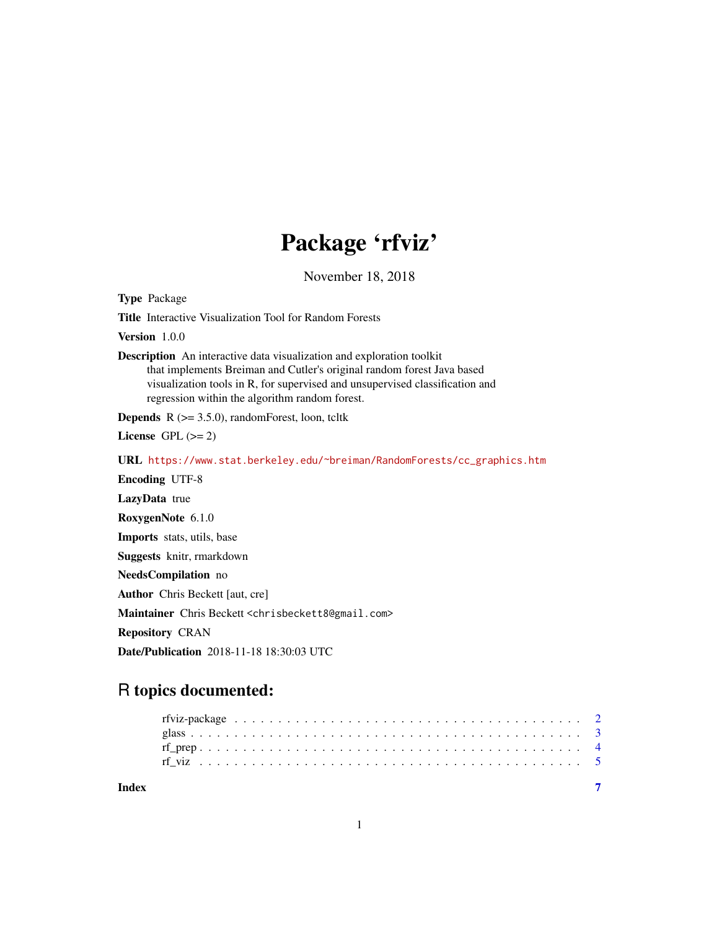## Package 'rfviz'

November 18, 2018

<span id="page-0-0"></span>Type Package

Title Interactive Visualization Tool for Random Forests

Version 1.0.0

Description An interactive data visualization and exploration toolkit that implements Breiman and Cutler's original random forest Java based visualization tools in R, for supervised and unsupervised classification and regression within the algorithm random forest.

**Depends**  $R$  ( $>= 3.5.0$ ), randomForest, loon, tcltk

License GPL  $(>= 2)$ 

URL [https://www.stat.berkeley.edu/~breiman/RandomForests/cc\\_graphics.htm](https://www.stat.berkeley.edu/~breiman/RandomForests/cc_graphics.htm)

Encoding UTF-8

LazyData true

RoxygenNote 6.1.0

Imports stats, utils, base

Suggests knitr, rmarkdown

NeedsCompilation no

Author Chris Beckett [aut, cre]

Maintainer Chris Beckett <chrisbeckett8@gmail.com>

Repository CRAN

Date/Publication 2018-11-18 18:30:03 UTC

## R topics documented:

**Index** [7](#page-6-0)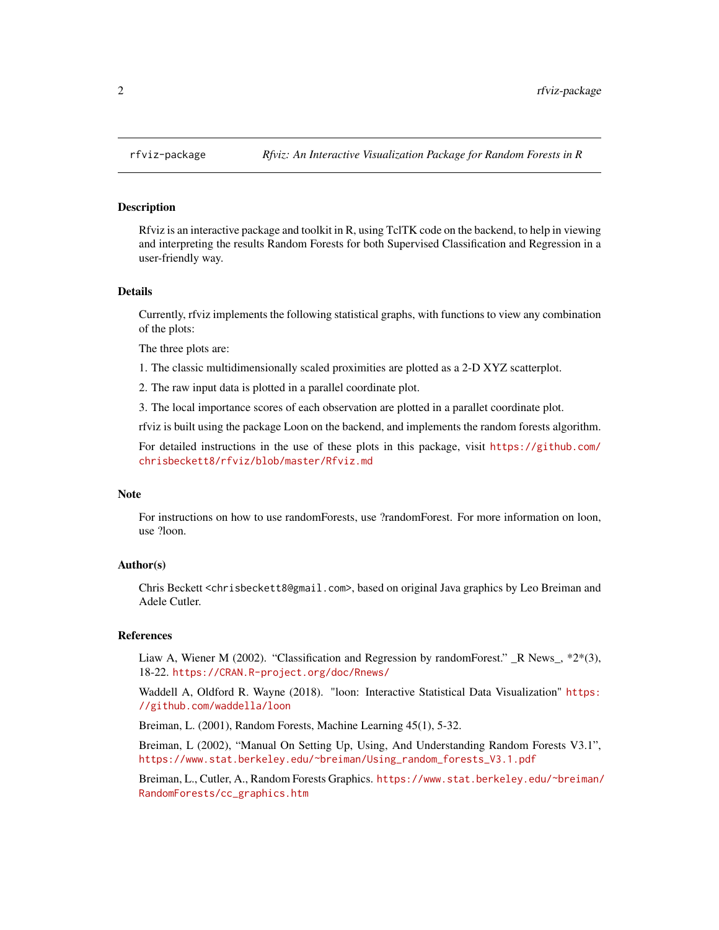#### Description

Rfviz is an interactive package and toolkit in R, using TclTK code on the backend, to help in viewing and interpreting the results Random Forests for both Supervised Classification and Regression in a user-friendly way.

#### Details

Currently, rfviz implements the following statistical graphs, with functions to view any combination of the plots:

The three plots are:

1. The classic multidimensionally scaled proximities are plotted as a 2-D XYZ scatterplot.

2. The raw input data is plotted in a parallel coordinate plot.

3. The local importance scores of each observation are plotted in a parallet coordinate plot.

rfviz is built using the package Loon on the backend, and implements the random forests algorithm.

For detailed instructions in the use of these plots in this package, visit [https://github.com/](https://github.com/chrisbeckett8/rfviz/blob/master/Rfviz.md) [chrisbeckett8/rfviz/blob/master/Rfviz.md](https://github.com/chrisbeckett8/rfviz/blob/master/Rfviz.md)

#### Note

For instructions on how to use randomForests, use ?randomForest. For more information on loon, use ?loon.

## Author(s)

Chris Beckett <chrisbeckett8@gmail.com>, based on original Java graphics by Leo Breiman and Adele Cutler.

#### References

Liaw A, Wiener M (2002). "Classification and Regression by randomForest." \_R News\_, \*2\*(3), 18-22. <https://CRAN.R-project.org/doc/Rnews/>

Waddell A, Oldford R. Wayne (2018). "loon: Interactive Statistical Data Visualization" [https:](https://github.com/waddella/loon) [//github.com/waddella/loon](https://github.com/waddella/loon)

Breiman, L. (2001), Random Forests, Machine Learning 45(1), 5-32.

Breiman, L (2002), "Manual On Setting Up, Using, And Understanding Random Forests V3.1", [https://www.stat.berkeley.edu/~breiman/Using\\_random\\_forests\\_V3.1.pdf](https://www.stat.berkeley.edu/~breiman/Using_random_forests_V3.1.pdf)

Breiman, L., Cutler, A., Random Forests Graphics. [https://www.stat.berkeley.edu/~breiman/](https://www.stat.berkeley.edu/~breiman/RandomForests/cc_graphics.htm) [RandomForests/cc\\_graphics.htm](https://www.stat.berkeley.edu/~breiman/RandomForests/cc_graphics.htm)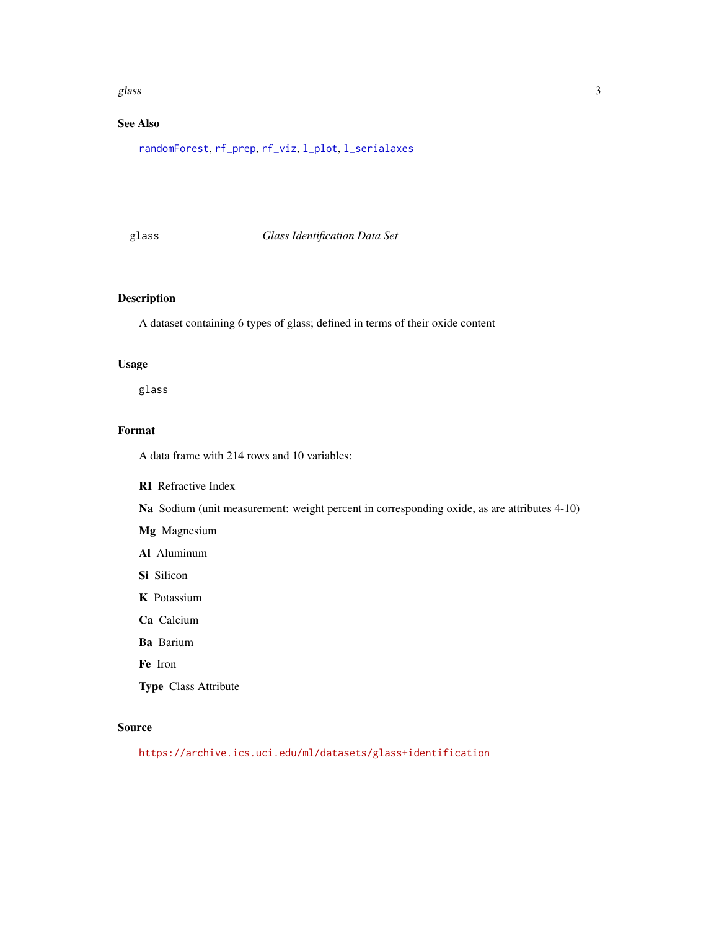#### <span id="page-2-0"></span>glass  $\sim$  3

## See Also

[randomForest](#page-0-0), [rf\\_prep](#page-3-1), [rf\\_viz](#page-4-1), [l\\_plot](#page-0-0), [l\\_serialaxes](#page-0-0)

## glass *Glass Identification Data Set*

## Description

A dataset containing 6 types of glass; defined in terms of their oxide content

#### Usage

glass

## Format

A data frame with 214 rows and 10 variables:

#### RI Refractive Index

Na Sodium (unit measurement: weight percent in corresponding oxide, as are attributes 4-10)

Mg Magnesium

Al Aluminum

Si Silicon

K Potassium

Ca Calcium

Ba Barium

Fe Iron

Type Class Attribute

#### Source

<https://archive.ics.uci.edu/ml/datasets/glass+identification>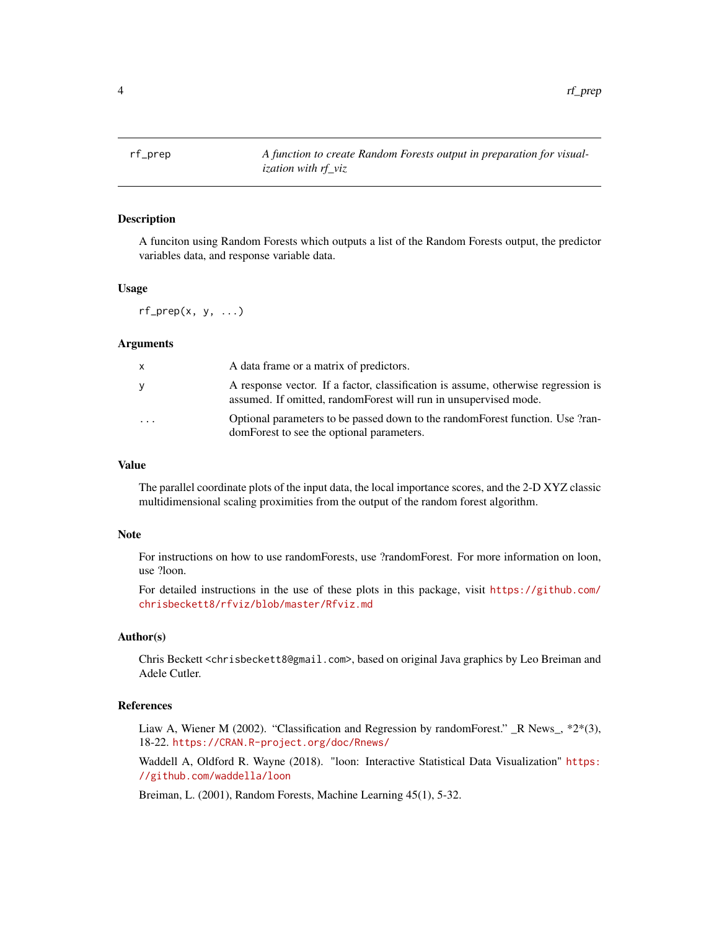<span id="page-3-0"></span>4 and the contract of the contract of the contract of the contract of the contract of the contract of the contract of the contract of the contract of the contract of the contract of the contract of the contract of the cont

<span id="page-3-1"></span>

#### **Description**

A funciton using Random Forests which outputs a list of the Random Forests output, the predictor variables data, and response variable data.

#### Usage

 $rf\_prep(x, y, ...)$ 

#### Arguments

| x         | A data frame or a matrix of predictors.                                                                                                               |
|-----------|-------------------------------------------------------------------------------------------------------------------------------------------------------|
| ۷         | A response vector. If a factor, classification is assume, otherwise regression is<br>assumed. If omitted, randomForest will run in unsupervised mode. |
| $\ddotsc$ | Optional parameters to be passed down to the random Forest function. Use ?ran-<br>domForest to see the optional parameters.                           |

#### Value

The parallel coordinate plots of the input data, the local importance scores, and the 2-D XYZ classic multidimensional scaling proximities from the output of the random forest algorithm.

#### Note

For instructions on how to use randomForests, use ?randomForest. For more information on loon, use ?loon.

For detailed instructions in the use of these plots in this package, visit [https://github.com/](https://github.com/chrisbeckett8/rfviz/blob/master/Rfviz.md) [chrisbeckett8/rfviz/blob/master/Rfviz.md](https://github.com/chrisbeckett8/rfviz/blob/master/Rfviz.md)

#### Author(s)

Chris Beckett <chrisbeckett8@gmail.com>, based on original Java graphics by Leo Breiman and Adele Cutler.

#### References

Liaw A, Wiener M (2002). "Classification and Regression by randomForest."  $\mathbb{R}$  News<sub>-</sub>, \*2\*(3), 18-22. <https://CRAN.R-project.org/doc/Rnews/>

Waddell A, Oldford R. Wayne (2018). "loon: Interactive Statistical Data Visualization" [https:](https://github.com/waddella/loon) [//github.com/waddella/loon](https://github.com/waddella/loon)

Breiman, L. (2001), Random Forests, Machine Learning 45(1), 5-32.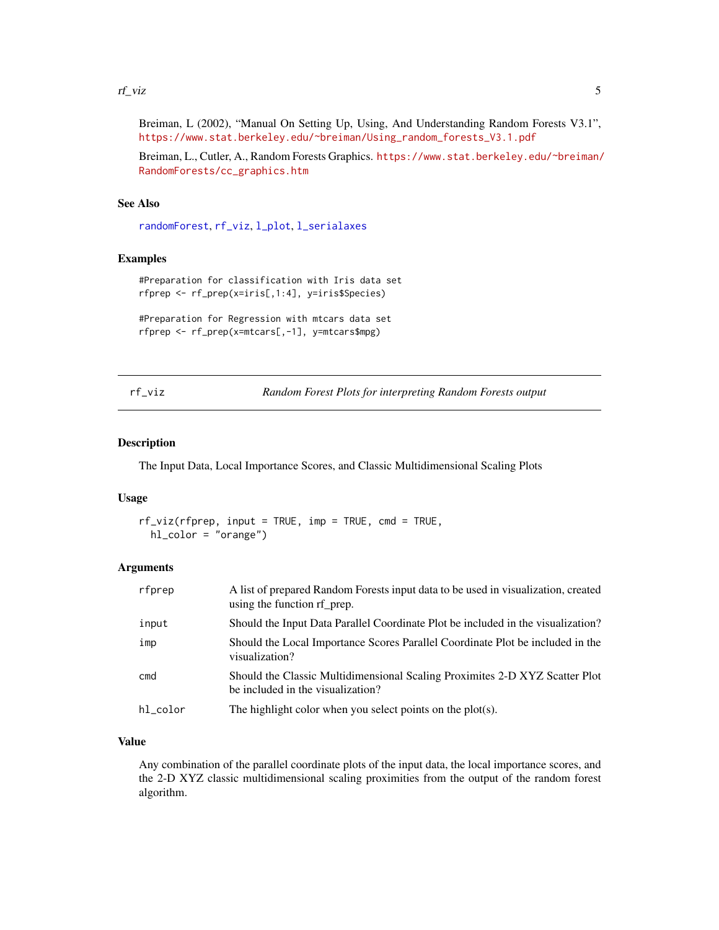#### <span id="page-4-0"></span>rf\_viz 5

Breiman, L (2002), "Manual On Setting Up, Using, And Understanding Random Forests V3.1", [https://www.stat.berkeley.edu/~breiman/Using\\_random\\_forests\\_V3.1.pdf](https://www.stat.berkeley.edu/~breiman/Using_random_forests_V3.1.pdf)

Breiman, L., Cutler, A., Random Forests Graphics. [https://www.stat.berkeley.edu/~breiman/](https://www.stat.berkeley.edu/~breiman/RandomForests/cc_graphics.htm) [RandomForests/cc\\_graphics.htm](https://www.stat.berkeley.edu/~breiman/RandomForests/cc_graphics.htm)

## See Also

[randomForest](#page-0-0), [rf\\_viz](#page-4-1), [l\\_plot](#page-0-0), [l\\_serialaxes](#page-0-0)

#### Examples

```
#Preparation for classification with Iris data set
rfprep <- rf_prep(x=iris[,1:4], y=iris$Species)
```

```
#Preparation for Regression with mtcars data set
rfprep <- rf_prep(x=mtcars[,-1], y=mtcars$mpg)
```
<span id="page-4-1"></span>rf\_viz *Random Forest Plots for interpreting Random Forests output*

#### Description

The Input Data, Local Importance Scores, and Classic Multidimensional Scaling Plots

#### Usage

rf\_viz(rfprep, input = TRUE, imp = TRUE, cmd = TRUE, hl\_color = "orange")

## Arguments

| rfprep   | A list of prepared Random Forests input data to be used in visualization, created<br>using the function of prep. |
|----------|------------------------------------------------------------------------------------------------------------------|
| input    | Should the Input Data Parallel Coordinate Plot be included in the visualization?                                 |
| imp      | Should the Local Importance Scores Parallel Coordinate Plot be included in the<br>visualization?                 |
| cmd      | Should the Classic Multidimensional Scaling Proximites 2-D XYZ Scatter Plot<br>be included in the visualization? |
| hl_color | The highlight color when you select points on the $plot(s)$ .                                                    |

#### Value

Any combination of the parallel coordinate plots of the input data, the local importance scores, and the 2-D XYZ classic multidimensional scaling proximities from the output of the random forest algorithm.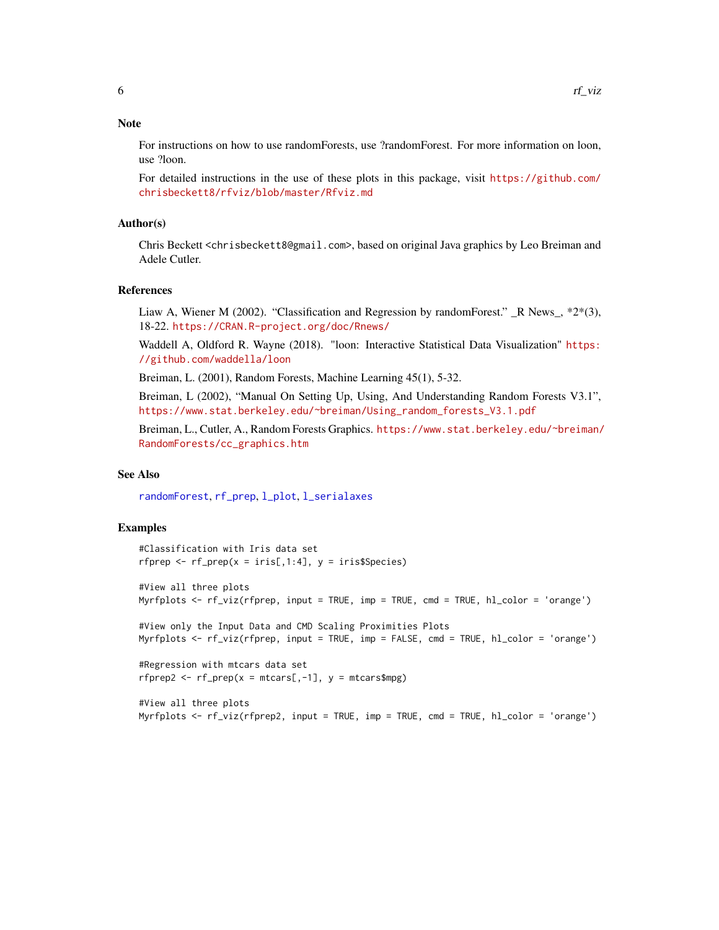#### <span id="page-5-0"></span>**Note**

For instructions on how to use randomForests, use ?randomForest. For more information on loon, use ?loon.

For detailed instructions in the use of these plots in this package, visit [https://github.com/](https://github.com/chrisbeckett8/rfviz/blob/master/Rfviz.md) [chrisbeckett8/rfviz/blob/master/Rfviz.md](https://github.com/chrisbeckett8/rfviz/blob/master/Rfviz.md)

#### Author(s)

Chris Beckett <chrisbeckett8@gmail.com>, based on original Java graphics by Leo Breiman and Adele Cutler.

#### References

Liaw A, Wiener M (2002). "Classification and Regression by randomForest."  $\mathbb R$  News  $, *2*(3),$ 18-22. <https://CRAN.R-project.org/doc/Rnews/>

Waddell A, Oldford R. Wayne (2018). "loon: Interactive Statistical Data Visualization" [https:](https://github.com/waddella/loon) [//github.com/waddella/loon](https://github.com/waddella/loon)

Breiman, L. (2001), Random Forests, Machine Learning 45(1), 5-32.

Breiman, L (2002), "Manual On Setting Up, Using, And Understanding Random Forests V3.1", [https://www.stat.berkeley.edu/~breiman/Using\\_random\\_forests\\_V3.1.pdf](https://www.stat.berkeley.edu/~breiman/Using_random_forests_V3.1.pdf)

Breiman, L., Cutler, A., Random Forests Graphics. [https://www.stat.berkeley.edu/~breiman/](https://www.stat.berkeley.edu/~breiman/RandomForests/cc_graphics.htm) [RandomForests/cc\\_graphics.htm](https://www.stat.berkeley.edu/~breiman/RandomForests/cc_graphics.htm)

#### See Also

[randomForest](#page-0-0), [rf\\_prep](#page-3-1), [l\\_plot](#page-0-0), [l\\_serialaxes](#page-0-0)

#### Examples

```
#Classification with Iris data set
rfprep \leq rf_prep(x = iris[,1:4], y = iris$Species)
#View all three plots
Myrfplots <- rf_viz(rfprep, input = TRUE, imp = TRUE, cmd = TRUE, hl_color = 'orange')
#View only the Input Data and CMD Scaling Proximities Plots
Myrfplots <- rf_viz(rfprep, input = TRUE, imp = FALSE, cmd = TRUE, hl_color = 'orange')
#Regression with mtcars data set
rfprep2 <- rfrep(x = mtcars[,-1], y = mtcars$mpg)
#View all three plots
```
Myrfplots <- rf\_viz(rfprep2, input = TRUE, imp = TRUE, cmd = TRUE, hl\_color = 'orange')